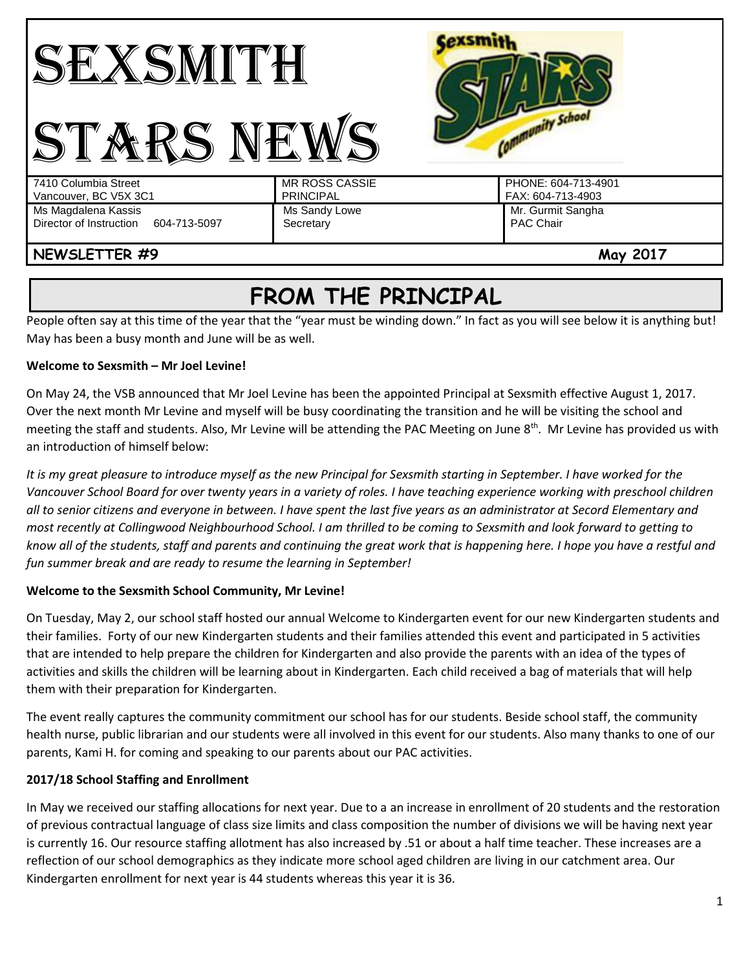

# **FROM THE PRINCIPAL**

People often say at this time of the year that the "year must be winding down." In fact as you will see below it is anything but! May has been a busy month and June will be as well.

# **Welcome to Sexsmith – Mr Joel Levine!**

On May 24, the VSB announced that Mr Joel Levine has been the appointed Principal at Sexsmith effective August 1, 2017. Over the next month Mr Levine and myself will be busy coordinating the transition and he will be visiting the school and meeting the staff and students. Also, Mr Levine will be attending the PAC Meeting on June 8<sup>th</sup>. Mr Levine has provided us with an introduction of himself below:

*It is my great pleasure to introduce myself as the new Principal for Sexsmith starting in September. I have worked for the Vancouver School Board for over twenty years in a variety of roles. I have teaching experience working with preschool children all to senior citizens and everyone in between. I have spent the last five years as an administrator at Secord Elementary and most recently at Collingwood Neighbourhood School. I am thrilled to be coming to Sexsmith and look forward to getting to know all of the students, staff and parents and continuing the great work that is happening here. I hope you have a restful and fun summer break and are ready to resume the learning in September!*

# **Welcome to the Sexsmith School Community, Mr Levine!**

On Tuesday, May 2, our school staff hosted our annual Welcome to Kindergarten event for our new Kindergarten students and their families. Forty of our new Kindergarten students and their families attended this event and participated in 5 activities that are intended to help prepare the children for Kindergarten and also provide the parents with an idea of the types of activities and skills the children will be learning about in Kindergarten. Each child received a bag of materials that will help them with their preparation for Kindergarten.

The event really captures the community commitment our school has for our students. Beside school staff, the community health nurse, public librarian and our students were all involved in this event for our students. Also many thanks to one of our parents, Kami H. for coming and speaking to our parents about our PAC activities.

# **2017/18 School Staffing and Enrollment**

In May we received our staffing allocations for next year. Due to a an increase in enrollment of 20 students and the restoration of previous contractual language of class size limits and class composition the number of divisions we will be having next year is currently 16. Our resource staffing allotment has also increased by .51 or about a half time teacher. These increases are a reflection of our school demographics as they indicate more school aged children are living in our catchment area. Our Kindergarten enrollment for next year is 44 students whereas this year it is 36.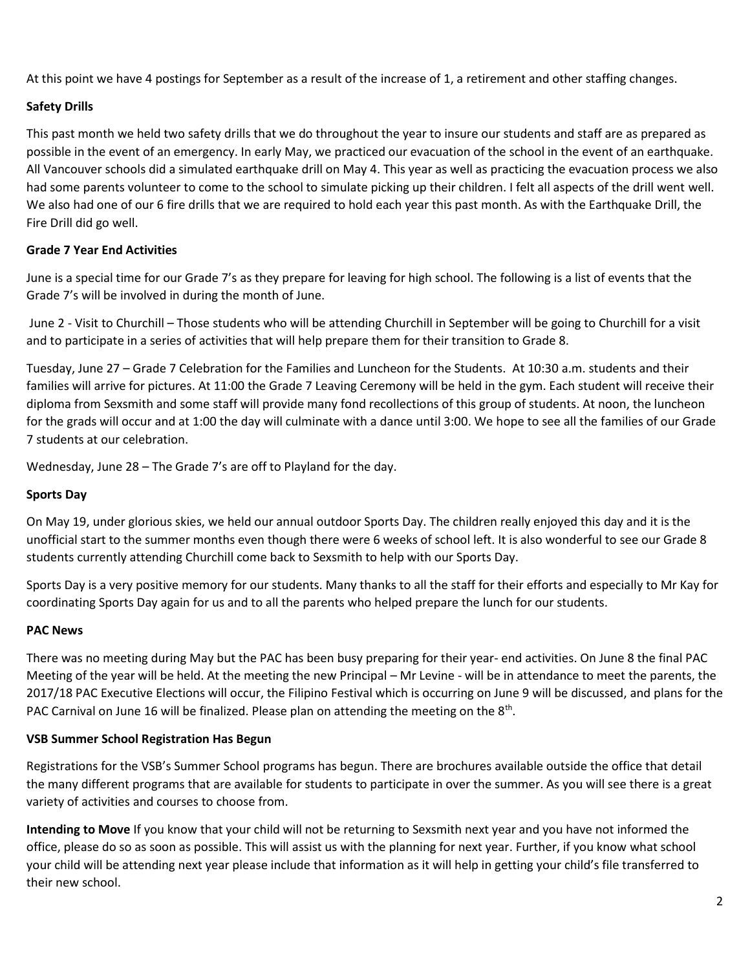At this point we have 4 postings for September as a result of the increase of 1, a retirement and other staffing changes.

# **Safety Drills**

This past month we held two safety drills that we do throughout the year to insure our students and staff are as prepared as possible in the event of an emergency. In early May, we practiced our evacuation of the school in the event of an earthquake. All Vancouver schools did a simulated earthquake drill on May 4. This year as well as practicing the evacuation process we also had some parents volunteer to come to the school to simulate picking up their children. I felt all aspects of the drill went well. We also had one of our 6 fire drills that we are required to hold each year this past month. As with the Earthquake Drill, the Fire Drill did go well.

# **Grade 7 Year End Activities**

June is a special time for our Grade 7's as they prepare for leaving for high school. The following is a list of events that the Grade 7's will be involved in during the month of June.

June 2 - Visit to Churchill – Those students who will be attending Churchill in September will be going to Churchill for a visit and to participate in a series of activities that will help prepare them for their transition to Grade 8.

Tuesday, June 27 – Grade 7 Celebration for the Families and Luncheon for the Students. At 10:30 a.m. students and their families will arrive for pictures. At 11:00 the Grade 7 Leaving Ceremony will be held in the gym. Each student will receive their diploma from Sexsmith and some staff will provide many fond recollections of this group of students. At noon, the luncheon for the grads will occur and at 1:00 the day will culminate with a dance until 3:00. We hope to see all the families of our Grade 7 students at our celebration.

Wednesday, June 28 – The Grade 7's are off to Playland for the day.

#### **Sports Day**

On May 19, under glorious skies, we held our annual outdoor Sports Day. The children really enjoyed this day and it is the unofficial start to the summer months even though there were 6 weeks of school left. It is also wonderful to see our Grade 8 students currently attending Churchill come back to Sexsmith to help with our Sports Day.

Sports Day is a very positive memory for our students. Many thanks to all the staff for their efforts and especially to Mr Kay for coordinating Sports Day again for us and to all the parents who helped prepare the lunch for our students.

#### **PAC News**

There was no meeting during May but the PAC has been busy preparing for their year- end activities. On June 8 the final PAC Meeting of the year will be held. At the meeting the new Principal – Mr Levine - will be in attendance to meet the parents, the 2017/18 PAC Executive Elections will occur, the Filipino Festival which is occurring on June 9 will be discussed, and plans for the PAC Carnival on June 16 will be finalized. Please plan on attending the meeting on the  $8<sup>th</sup>$ .

#### **VSB Summer School Registration Has Begun**

Registrations for the VSB's Summer School programs has begun. There are brochures available outside the office that detail the many different programs that are available for students to participate in over the summer. As you will see there is a great variety of activities and courses to choose from.

**Intending to Move** If you know that your child will not be returning to Sexsmith next year and you have not informed the office, please do so as soon as possible. This will assist us with the planning for next year. Further, if you know what school your child will be attending next year please include that information as it will help in getting your child's file transferred to their new school.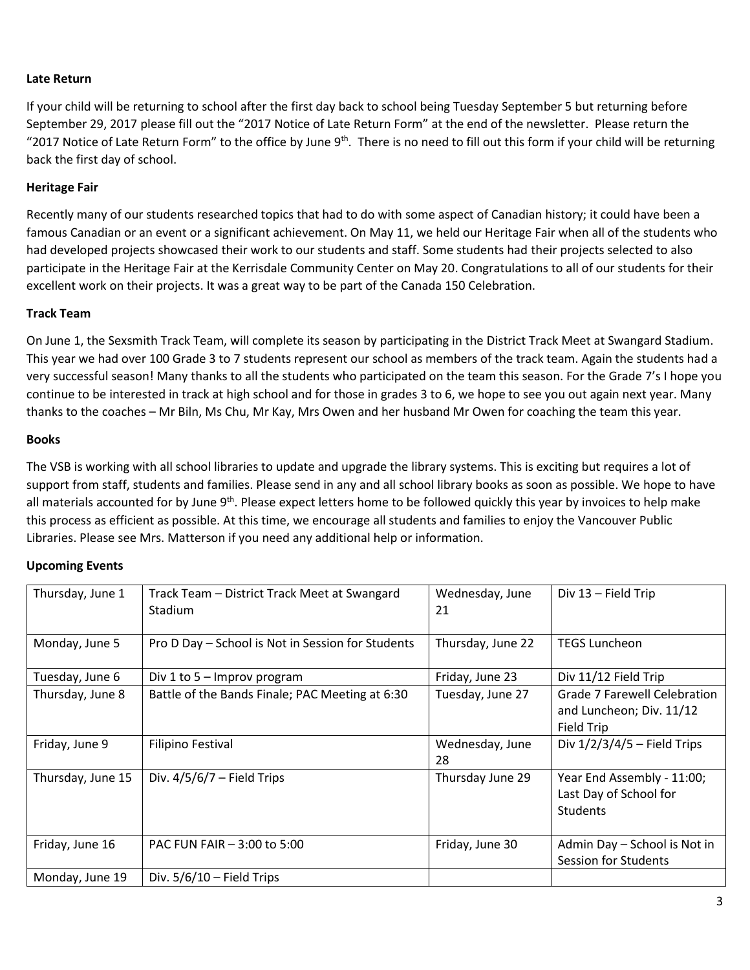# **Late Return**

If your child will be returning to school after the first day back to school being Tuesday September 5 but returning before September 29, 2017 please fill out the "2017 Notice of Late Return Form" at the end of the newsletter. Please return the "2017 Notice of Late Return Form" to the office by June 9<sup>th</sup>. There is no need to fill out this form if your child will be returning back the first day of school.

#### **Heritage Fair**

Recently many of our students researched topics that had to do with some aspect of Canadian history; it could have been a famous Canadian or an event or a significant achievement. On May 11, we held our Heritage Fair when all of the students who had developed projects showcased their work to our students and staff. Some students had their projects selected to also participate in the Heritage Fair at the Kerrisdale Community Center on May 20. Congratulations to all of our students for their excellent work on their projects. It was a great way to be part of the Canada 150 Celebration.

# **Track Team**

On June 1, the Sexsmith Track Team, will complete its season by participating in the District Track Meet at Swangard Stadium. This year we had over 100 Grade 3 to 7 students represent our school as members of the track team. Again the students had a very successful season! Many thanks to all the students who participated on the team this season. For the Grade 7's I hope you continue to be interested in track at high school and for those in grades 3 to 6, we hope to see you out again next year. Many thanks to the coaches – Mr Biln, Ms Chu, Mr Kay, Mrs Owen and her husband Mr Owen for coaching the team this year.

#### **Books**

The VSB is working with all school libraries to update and upgrade the library systems. This is exciting but requires a lot of support from staff, students and families. Please send in any and all school library books as soon as possible. We hope to have all materials accounted for by June 9<sup>th</sup>. Please expect letters home to be followed quickly this year by invoices to help make this process as efficient as possible. At this time, we encourage all students and families to enjoy the Vancouver Public Libraries. Please see Mrs. Matterson if you need any additional help or information.

#### **Upcoming Events**

| Thursday, June 1  | Track Team – District Track Meet at Swangard<br><b>Stadium</b> | Wednesday, June<br>21 | Div 13 - Field Trip                                                           |
|-------------------|----------------------------------------------------------------|-----------------------|-------------------------------------------------------------------------------|
| Monday, June 5    | Pro D Day - School is Not in Session for Students              | Thursday, June 22     | <b>TEGS Luncheon</b>                                                          |
| Tuesday, June 6   | Div 1 to $5 -$ Improv program                                  | Friday, June 23       | Div 11/12 Field Trip                                                          |
| Thursday, June 8  | Battle of the Bands Finale; PAC Meeting at 6:30                | Tuesday, June 27      | <b>Grade 7 Farewell Celebration</b><br>and Luncheon; Div. 11/12<br>Field Trip |
| Friday, June 9    | Filipino Festival                                              | Wednesday, June<br>28 | Div $1/2/3/4/5$ – Field Trips                                                 |
| Thursday, June 15 | Div. $4/5/6/7$ – Field Trips                                   | Thursday June 29      | Year End Assembly - 11:00;<br>Last Day of School for<br><b>Students</b>       |
| Friday, June 16   | PAC FUN FAIR - 3:00 to 5:00                                    | Friday, June 30       | Admin Day - School is Not in<br><b>Session for Students</b>                   |
| Monday, June 19   | Div. $5/6/10$ – Field Trips                                    |                       |                                                                               |